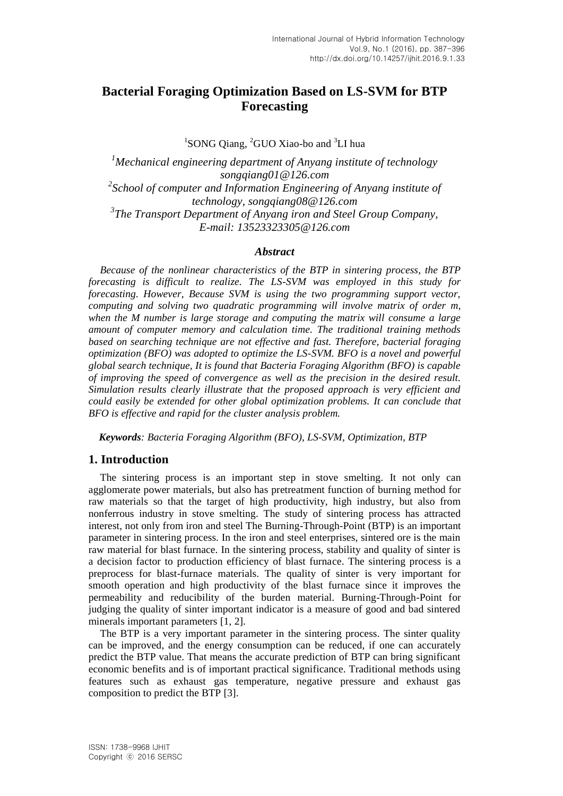# **Bacterial Foraging Optimization Based on LS-SVM for BTP Forecasting**

<sup>1</sup>SONG Qiang, <sup>2</sup>GUO Xiao-bo and <sup>3</sup>LI hua

*<sup>1</sup>Mechanical engineering department of Anyang institute of technology [songqiang01@126.com](mailto:songqiang01@126.com) 2 School of computer and Information Engineering of Anyang institute of technolog[y, songqiang08@126.com](mailto:,%20songqiang08@126.com) 3 The Transport Department of Anyang iron and Steel Group Company, E-mail: 13523323305@126.com*

#### *Abstract*

*Because of the nonlinear characteristics of the BTP in sintering process, the BTP forecasting is difficult to realize. The LS-SVM was employed in this study for forecasting. However, Because SVM is using the two programming support vector, computing and solving two quadratic programming will involve matrix of order m, when the M number is large storage and computing the matrix will consume a large amount of computer memory and calculation time. The traditional training methods based on searching technique are not effective and fast. Therefore, bacterial foraging optimization (BFO) was adopted to optimize the LS-SVM. BFO is a novel and powerful global search technique, It is found that Bacteria Foraging Algorithm (BFO) is capable of improving the speed of convergence as well as the precision in the desired result. Simulation results clearly illustrate that the proposed approach is very efficient and could easily be extended for other global optimization problems. It can conclude that BFO is effective and rapid for the cluster analysis problem.*

 *Keywords: Bacteria Foraging Algorithm (BFO), LS-SVM, Optimization, BTP*

# **1. Introduction**

The sintering process is an important step in stove smelting. It not only can agglomerate power materials, but also has pretreatment function of burning method for raw materials so that the target of high productivity, high industry, but also from nonferrous industry in stove smelting. The study of sintering process has attracted interest, not only from iron and steel The Burning-Through-Point (BTP) is an important parameter in sintering process. In the iron and steel enterprises, sintered ore is the main raw material for blast furnace. In the sintering process, stability and quality of sinter is a decision factor to production efficiency of blast furnace. The sintering process is a preprocess for blast-furnace materials. The quality of sinter is very important for smooth operation and high productivity of the blast furnace since it improves the permeability and reducibility of the burden material. Burning-Through-Point for judging the quality of sinter important indicator is a measure of good and bad sintered minerals important parameters [1, 2].

The BTP is a very important parameter in the sintering process. The sinter quality can be improved, and the energy consumption can be reduced, if one can accurately predict the BTP value. That means the accurate prediction of BTP can bring significant economic benefits and is of important practical significance. Traditional methods using features such as exhaust gas temperature, negative pressure and exhaust gas composition to predict the BTP [3].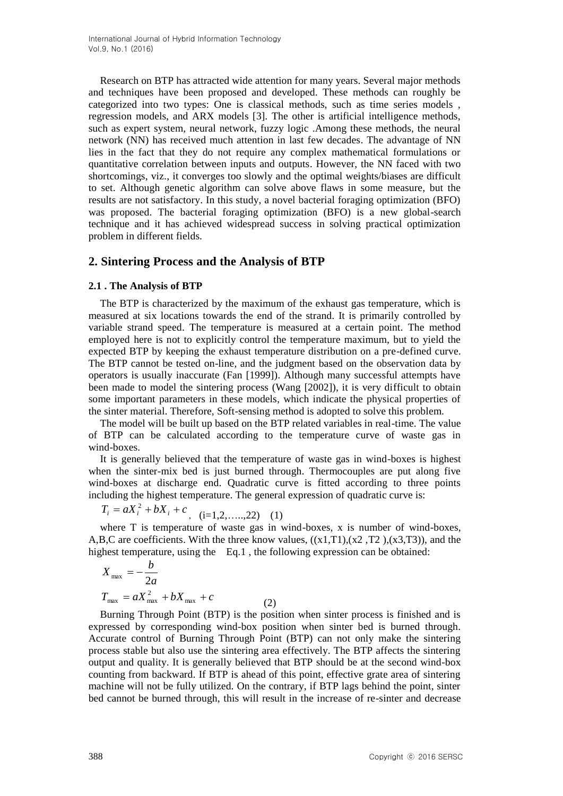Research on BTP has attracted wide attention for many years. Several major methods and techniques have been proposed and developed. These methods can roughly be categorized into two types: One is classical methods, such as time series models , regression models, and ARX models [3]. The other is artificial intelligence methods, such as expert system, neural network, fuzzy logic .Among these methods, the neural network (NN) has received much attention in last few decades. The advantage of NN lies in the fact that they do not require any complex mathematical formulations or quantitative correlation between inputs and outputs. However, the NN faced with two shortcomings, viz., it converges too slowly and the optimal weights/biases are difficult to set. Although genetic algorithm can solve above flaws in some measure, but the results are not satisfactory. In this study, a novel bacterial foraging optimization (BFO) was proposed. The bacterial foraging optimization (BFO) is a new global-search technique and it has achieved widespread success in solving practical optimization problem in different fields.

# **2. Sintering Process and the Analysis of BTP**

## **2.1 . The Analysis of BTP**

The BTP is characterized by the maximum of the exhaust gas temperature, which is measured at six locations towards the end of the strand. It is primarily controlled by variable strand speed. The temperature is measured at a certain point. The method employed here is not to explicitly control the temperature maximum, but to yield the expected BTP by keeping the exhaust temperature distribution on a pre-defined curve. The BTP cannot be tested on-line, and the judgment based on the observation data by operators is usually inaccurate (Fan [1999]). Although many successful attempts have been made to model the sintering process (Wang [2002]), it is very difficult to obtain some important parameters in these models, which indicate the physical properties of the sinter material. Therefore, Soft-sensing method is adopted to solve this problem.

The model will be built up based on the BTP related variables in real-time. The value of BTP can be calculated according to the temperature curve of waste gas in wind-boxes.

It is generally believed that the temperature of waste gas in wind-boxes is highest when the sinter-mix bed is just burned through. Thermocouples are put along five wind-boxes at discharge end. Quadratic curve is fitted according to three points including the highest temperature. The general expression of quadratic curve is:

 $T_i = aX_i^2 + bX_i + c$ , (i=1,2,....,22) (1)

where T is temperature of waste gas in wind-boxes, x is number of wind-boxes, A,B,C are coefficients. With the three know values,  $((x1, T1), (x2, T2), (x3, T3))$ , and the highest temperature, using the Eq.1, the following expression can be obtained:

$$
X_{\text{max}} = -\frac{b}{2a}
$$
  
\n
$$
T_{\text{max}} = aX_{\text{max}}^2 + bX_{\text{max}} + c
$$
 (2)

Burning Through Point (BTP) is the position when sinter process is finished and is expressed by corresponding wind-box position when sinter bed is burned through. Accurate control of Burning Through Point (BTP) can not only make the sintering process stable but also use the sintering area effectively. The BTP affects the sintering output and quality. It is generally believed that BTP should be at the second wind-box counting from backward. If BTP is ahead of this point, effective grate area of sintering machine will not be fully utilized. On the contrary, if BTP lags behind the point, sinter bed cannot be burned through, this will result in the increase of re-sinter and decrease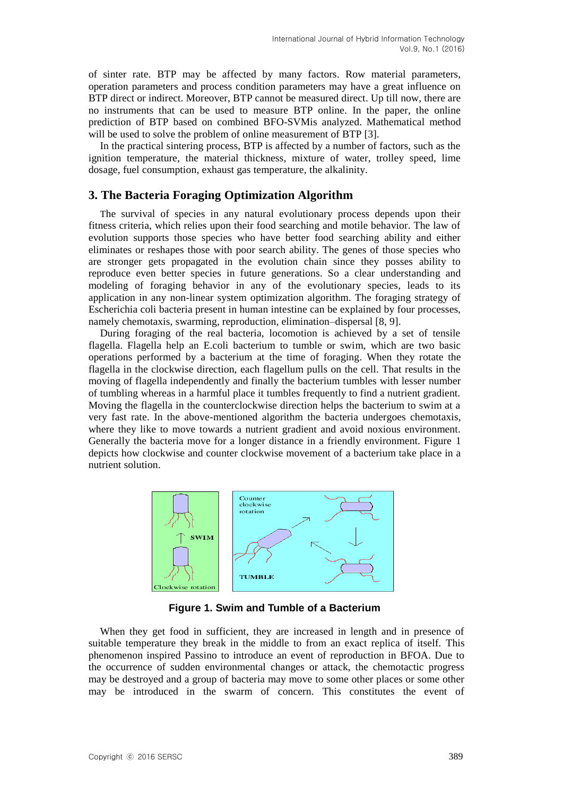of sinter rate. BTP may be affected by many factors. Row material parameters, operation parameters and process condition parameters may have a great influence on BTP direct or indirect. Moreover, BTP cannot be measured direct. Up till now, there are no instruments that can be used to measure BTP online. In the paper, the online prediction of BTP based on combined BFO-SVMis analyzed. Mathematical method will be used to solve the problem of online measurement of BTP [3].

In the practical sintering process, BTP is affected by a number of factors, such as the ignition temperature, the material thickness, mixture of water, trolley speed, lime dosage, fuel consumption, exhaust gas temperature, the alkalinity.

# **3. The Bacteria Foraging Optimization Algorithm**

The survival of species in any natural evolutionary process depends upon their fitness criteria, which relies upon their food searching and motile behavior. The law of evolution supports those species who have better food searching ability and either eliminates or reshapes those with poor search ability. The genes of those species who are stronger gets propagated in the evolution chain since they posses ability to reproduce even better species in future generations. So a clear understanding and modeling of foraging behavior in any of the evolutionary species, leads to its application in any non-linear system optimization algorithm. The foraging strategy of Escherichia coli bacteria present in human intestine can be explained by four processes, namely chemotaxis, swarming, reproduction, elimination–dispersal [8, 9].

During foraging of the real bacteria, locomotion is achieved by a set of tensile flagella. Flagella help an E.coli bacterium to tumble or swim, which are two basic operations performed by a bacterium at the time of foraging. When they rotate the flagella in the clockwise direction, each flagellum pulls on the cell. That results in the moving of flagella independently and finally the bacterium tumbles with lesser number of tumbling whereas in a harmful place it tumbles frequently to find a nutrient gradient. Moving the flagella in the counterclockwise direction helps the bacterium to swim at a very fast rate. In the above-mentioned algorithm the bacteria undergoes chemotaxis, where they like to move towards a nutrient gradient and avoid noxious environment. Generally the bacteria move for a longer distance in a friendly environment. Figure 1 depicts how clockwise and counter clockwise movement of a bacterium take place in a nutrient solution.



**Figure 1. Swim and Tumble of a Bacterium**

When they get food in sufficient, they are increased in length and in presence of suitable temperature they break in the middle to from an exact replica of itself. This phenomenon inspired Passino to introduce an event of reproduction in BFOA. Due to the occurrence of sudden environmental changes or attack, the chemotactic progress may be destroyed and a group of bacteria may move to some other places or some other may be introduced in the swarm of concern. This constitutes the event of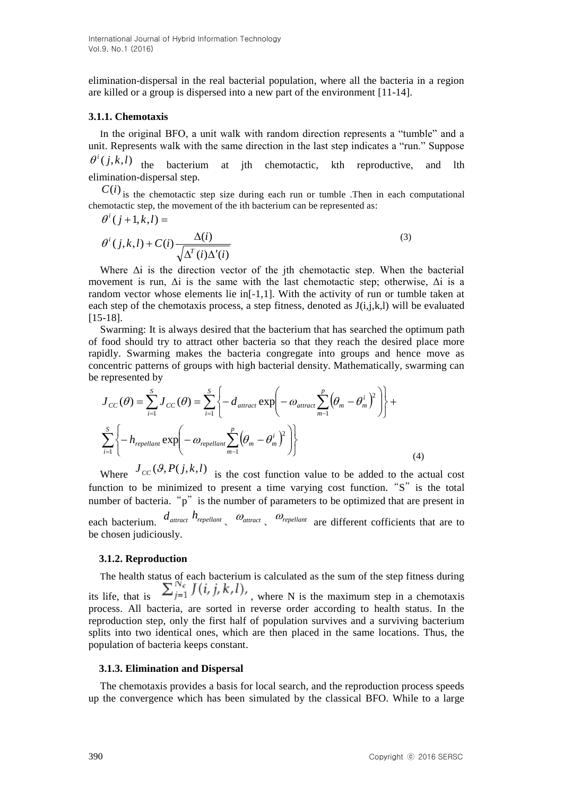elimination-dispersal in the real bacterial population, where all the bacteria in a region are killed or a group is dispersed into a new part of the environment [11-14].

#### **3.1.1. Chemotaxis**

In the original BFO, a unit walk with random direction represents a "tumble" and a unit. Represents walk with the same direction in the last step indicates a "run." Suppose  $\theta^{i}(j, k, l)$  the bacterium at jth chemotactic, kth reproductive, and lth

elimination-dispersal step.

 $C(i)$  is the chemotactic step size during each run or tumble .Then in each computational chemotactic step, the movement of the ith bacterium can be represented as:

$$
\theta^{i}(j+1,k,l) =
$$
\n
$$
\theta^{i}(j,k,l) + C(i) \frac{\Delta(i)}{\sqrt{\Delta^{T}(i)\Delta^{T}(i)}}
$$
\n(3)

Where  $\Delta i$  is the direction vector of the jth chemotactic step. When the bacterial movement is run,  $\Delta i$  is the same with the last chemotactic step; otherwise,  $\Delta i$  is a random vector whose elements lie in[-1,1]. With the activity of run or tumble taken at each step of the chemotaxis process, a step fitness, denoted as  $J(i,j,k,l)$  will be evaluated [15-18].

Swarming: It is always desired that the bacterium that has searched the optimum path of food should try to attract other bacteria so that they reach the desired place more rapidly. Swarming makes the bacteria congregate into groups and hence move as concentric patterns of groups with high bacterial density. Mathematically, swarming can be represented by

$$
J_{CC}(\theta) = \sum_{i=1}^{S} J_{CC}(\theta) = \sum_{i=1}^{S} \left\{ -d_{attract} \exp\left(-\omega_{attract} \sum_{m=1}^{P} (\theta_m - \theta_m^i)^2\right) \right\} + \sum_{i=1}^{S} \left\{ -h_{repellant} \exp\left(-\omega_{repellant} \sum_{m=1}^{P} (\theta_m - \theta_m^i)^2\right) \right\}
$$
(4)

Where  $J_{CC}(\mathcal{G}, P(j,k,l))$  is the cost function value to be added to the actual cost function to be minimized to present a time varying cost function. "S" is the total number of bacteria. "p" is the number of parameters to be optimized that are present in each bacterium.  $d_{\text{attract}}$   $h_{\text{repellant}}$   $\omega_{\text{attract}}$   $\omega_{\text{repellant}}$  are different cofficients that are to be chosen judiciously.

#### **3.1.2. Reproduction**

The health status of each bacterium is calculated as the sum of the step fitness during its life, that is  $\sum_{j=1}^{N_c} J(i, j, k, l)$ , where N is the maximum step in a chemotaxis process. All bacteria, are sorted in reverse order according to health status. In the reproduction step, only the first half of population survives and a surviving bacterium splits into two identical ones, which are then placed in the same locations. Thus, the population of bacteria keeps constant.

#### **3.1.3. Elimination and Dispersal**

The chemotaxis provides a basis for local search, and the reproduction process speeds up the convergence which has been simulated by the classical BFO. While to a large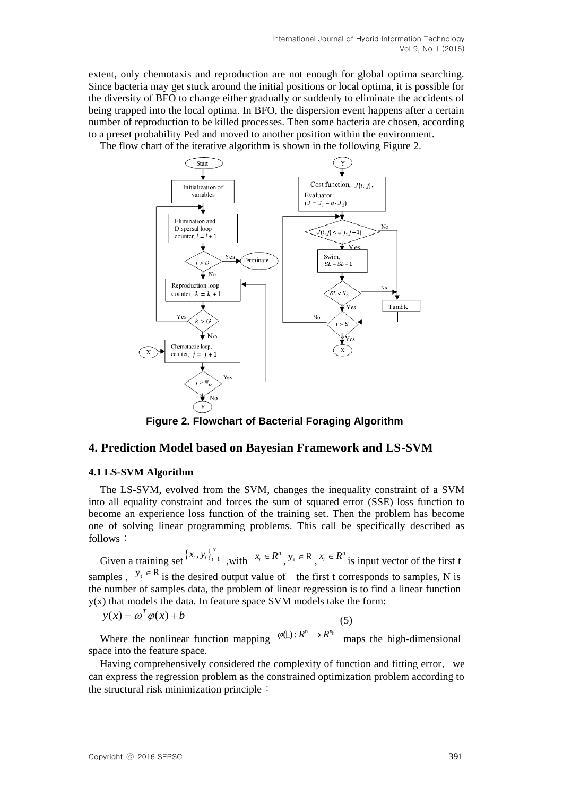extent, only chemotaxis and reproduction are not enough for global optima searching. Since bacteria may get stuck around the initial positions or local optima, it is possible for the diversity of BFO to change either gradually or suddenly to eliminate the accidents of being trapped into the local optima. In BFO, the dispersion event happens after a certain number of reproduction to be killed processes. Then some bacteria are chosen, according to a preset probability Ped and moved to another position within the environment.

The flow chart of the iterative algorithm is shown in the following Figure 2.



**Figure 2. Flowchart of Bacterial Foraging Algorithm**

# **4. Prediction Model based on Bayesian Framework and LS-SVM**

## **4.1 LS-SVM Algorithm**

The LS-SVM, evolved from the SVM, changes the inequality constraint of a SVM into all equality constraint and forces the sum of squared error (SSE) loss function to become an experience loss function of the training set. Then the problem has become one of solving linear programming problems. This call be specifically described as follows:

Given a training set  $\{x_t, y_t\}_{t=1}^N$  $x_t$ ,  $y_t$ ,  $y_{t-1}$ , with  $x_t \in R^n$ ,  $y_t \in R$ ,  $x_t \in R^n$  is input vector of the first t samples,  $y_t \in R$  is the desired output value of the first t corresponds to samples, N is the number of samples data, the problem of linear regression is to find a linear function y(x) that models the data. In feature space SVM models take the form:

$$
y(x) = \omega^T \varphi(x) + b \tag{5}
$$

Where the nonlinear function mapping  $\varphi \Box : R^n \to R^{n_h}$  maps the high-dimensional space into the feature space.

Having comprehensively considered the complexity of function and fitting error, we can express the regression problem as the constrained optimization problem according to the structural risk minimization principle: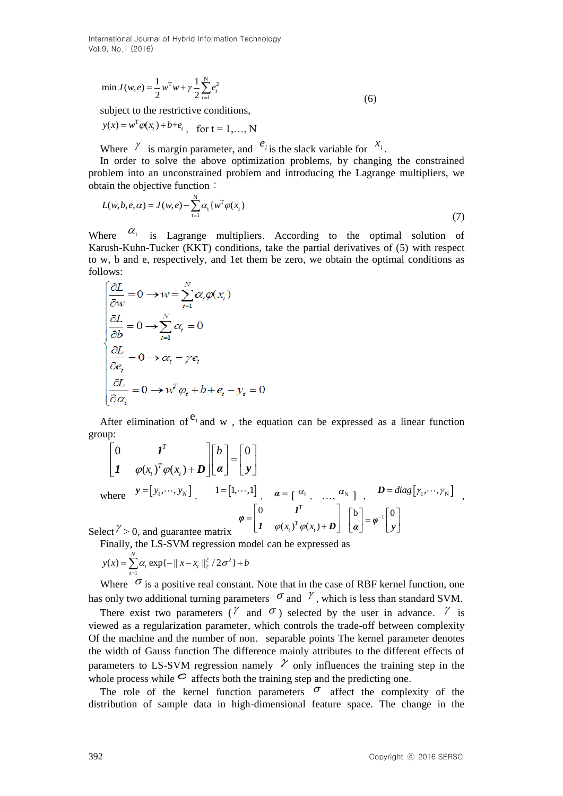International Journal of Hybrid Information Technology Vol.9, No.1 (2016)

$$
\min J(w, e) = \frac{1}{2} w^{\mathrm{T}} w + \gamma \frac{1}{2} \sum_{t=1}^{N} e_t^2
$$
\n(6)

subject to the restrictive conditions,

$$
y(x) = w^T \varphi(x_t) + b + e_t
$$
, for  $t = 1,..., N$ 

Where  $\gamma$  is margin parameter, and  $e_i$  is the slack variable for  $x_i$ .

In order to solve the above optimization problems, by changing the constrained problem into an unconstrained problem and introducing the Lagrange multipliers, we obtain the objective function:

$$
L(w, b, e, \alpha) = J(w, e) - \sum_{t=1}^{N} \alpha_t \{ w^T \varphi(x_t) \tag{7}
$$

Where  $\alpha_t$  is Lagrange multipliers. According to the optimal solution of Karush-Kuhn-Tucker (KKT) conditions, take the partial derivatives of (5) with respect to w, b and e, respectively, and 1et them be zero, we obtain the optimal conditions as follows:

$$
\begin{cases}\n\frac{\partial L}{\partial w} = 0 \to w = \sum_{t=1}^{N} \alpha_t \varphi(x_t) \\
\frac{\partial L}{\partial b} = 0 \to \sum_{t=1}^{N} \alpha_t = 0 \\
\frac{\partial L}{\partial e_t} = 0 \to \alpha_t = \gamma e_t \\
\frac{\partial L}{\partial \alpha_t} = 0 \to w^T \varphi_t + b + e_t - y_t = 0\n\end{cases}
$$

After elimination of  $e_t$  and w, the equation can be expressed as a linear function group:

$$
\begin{bmatrix}\n0 & I^T \\
I & \varphi(x_t)^T \varphi(x_t) + D\n\end{bmatrix}\n\begin{bmatrix}\nb \\
\alpha\n\end{bmatrix} =\n\begin{bmatrix}\n0 \\
y\n\end{bmatrix}
$$
\nwhere  $y = [y_1, \dots, y_N]$ ,  $1 = [1, \dots, 1]$ ,  $\alpha = [\alpha_1, \dots, \alpha_N]$ ,  $D = diag[y_1, \dots, y_N]$   
\nSelect  $\gamma > 0$ , and guarantee matrix\n
$$
\varphi =\n\begin{bmatrix}\n0 & I^T \\
I & \varphi(x_t)^T \varphi(x_t) + D\n\end{bmatrix}\n\begin{bmatrix}\nb \\
\alpha\n\end{bmatrix} = \varphi^{-1}\n\begin{bmatrix}\n0 \\
y\n\end{bmatrix}
$$

Finally, the LS-SVM regression model can be expressed as

$$
y(x) = \sum_{t=1}^{N} \alpha_t \exp\{-\|x - x_t\|_2^2 / 2\sigma^2\} + b
$$

Where  $\sigma$  is a positive real constant. Note that in the case of RBF kernel function, one has only two additional turning parameters  $\sigma$  and  $\gamma$ , which is less than standard SVM.

There exist two parameters ( $^{\gamma}$  and  $^{\sigma}$ ) selected by the user in advance.  $^{\gamma}$  is viewed as a regularization parameter, which controls the trade-off between complexity Of the machine and the number of non. separable points The kernel parameter denotes the width of Gauss function The difference mainly attributes to the different effects of parameters to LS-SVM regression namely  $\mathcal V$  only influences the training step in the whole process while  $\sigma$  affects both the training step and the predicting one.

The role of the kernel function parameters  $\sigma$  affect the complexity of the distribution of sample data in high-dimensional feature space. The change in the

,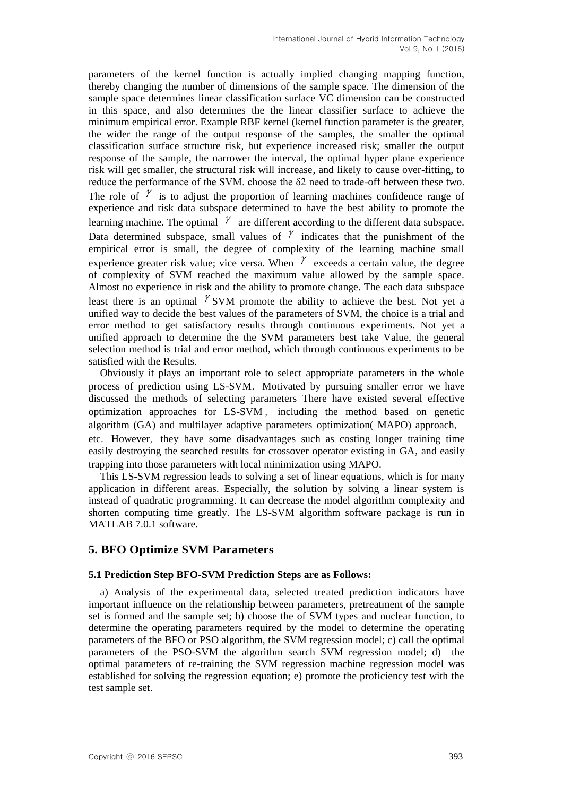parameters of the kernel function is actually implied changing mapping function, thereby changing the number of dimensions of the sample space. The dimension of the sample space determines linear classification surface VC dimension can be constructed in this space, and also determines the the linear classifier surface to achieve the minimum empirical error. Example RBF kernel (kernel function parameter is the greater, the wider the range of the output response of the samples, the smaller the optimal classification surface structure risk, but experience increased risk; smaller the output response of the sample, the narrower the interval, the optimal hyper plane experience risk will get smaller, the structural risk will increase, and likely to cause over-fitting, to reduce the performance of the SVM. choose the δ2 need to trade-off between these two. The role of  $\ell$  is to adjust the proportion of learning machines confidence range of experience and risk data subspace determined to have the best ability to promote the learning machine. The optimal  $\ell$  are different according to the different data subspace. Data determined subspace, small values of  $\ell$  indicates that the punishment of the empirical error is small, the degree of complexity of the learning machine small experience greater risk value; vice versa. When  $\ell$  exceeds a certain value, the degree of complexity of SVM reached the maximum value allowed by the sample space. Almost no experience in risk and the ability to promote change. The each data subspace least there is an optimal  $\gamma$  SVM promote the ability to achieve the best. Not yet a unified way to decide the best values of the parameters of SVM, the choice is a trial and error method to get satisfactory results through continuous experiments. Not yet a unified approach to determine the the SVM parameters best take Value, the general selection method is trial and error method, which through continuous experiments to be satisfied with the Results.

Obviously it plays an important role to select appropriate parameters in the whole process of prediction using LS-SVM. Motivated by pursuing smaller error we have discussed the methods of selecting parameters There have existed several effective optimization approaches for LS-SVM , including the method based on genetic algorithm (GA) and multilayer adaptive parameters optimization( MAPO) approach,

etc. However, they have some disadvantages such as costing longer training time easily destroying the searched results for crossover operator existing in GA, and easily trapping into those parameters with local minimization using MAPO.

This LS-SVM regression leads to solving a set of linear equations, which is for many application in different areas. Especially, the solution by solving a linear system is instead of quadratic programming. It can decrease the model algorithm complexity and shorten computing time greatly. The LS-SVM algorithm software package is run in MATLAB 7.0.1 software.

# **5. BFO Optimize SVM Parameters**

## **5.1 Prediction Step BFO-SVM Prediction Steps are as Follows:**

a) Analysis of the experimental data, selected treated prediction indicators have important influence on the relationship between parameters, pretreatment of the sample set is formed and the sample set; b) choose the of SVM types and nuclear function, to determine the operating parameters required by the model to determine the operating parameters of the BFO or PSO algorithm, the SVM regression model; c) call the optimal parameters of the PSO-SVM the algorithm search SVM regression model; d) the optimal parameters of re-training the SVM regression machine regression model was established for solving the regression equation; e) promote the proficiency test with the test sample set.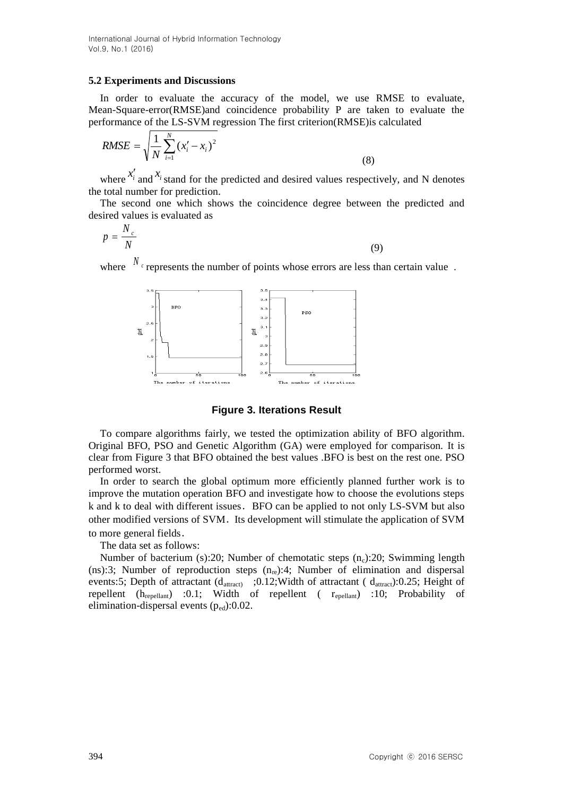International Journal of Hybrid Information Technology Vol.9, No.1 (2016)

#### **5.2 Experiments and Discussions**

In order to evaluate the accuracy of the model, we use RMSE to evaluate, Mean-Square-error(RMSE)and coincidence probability P are taken to evaluate the performance of the LS-SVM regression The first criterion(RMSE)is calculated

RMSE = 
$$
\sqrt{\frac{1}{N} \sum_{i=1}^{N} (x'_i - x_i)^2}
$$
 (8)

where  $x'_i$  and  $x_i$  stand for the predicted and desired values respectively, and N denotes the total number for prediction.

The second one which shows the coincidence degree between the predicted and desired values is evaluated as

$$
p = \frac{N_c}{N}
$$
 (9)

where  $N_c$  represents the number of points whose errors are less than certain value.



**Figure 3. Iterations Result**

To compare algorithms fairly, we tested the optimization ability of BFO algorithm. Original BFO, PSO and Genetic Algorithm (GA) were employed for comparison. It is clear from Figure 3 that BFO obtained the best values .BFO is best on the rest one. PSO performed worst.

In order to search the global optimum more efficiently planned further work is to improve the mutation operation BFO and investigate how to choose the evolutions steps k and k to deal with different issues.BFO can be applied to not only LS-SVM but also other modified versions of SVM. Its development will stimulate the application of SVM to more general fields.

The data set as follows:

Number of bacterium (s):20; Number of chemotatic steps  $(n_c)$ :20; Swimming length (ns):3; Number of reproduction steps  $(n_{re})$ :4; Number of elimination and dispersal events:5; Depth of attractant  $(d_{\text{attract}})$  ; 0.12; Width of attractant ( $d_{\text{attract}}$ ): 0.25; Height of repellent  $(h_{repellant})$  :0.1; Width of repellent ( $r_{epellant}$ ) :10; Probability of elimination-dispersal events  $(p_{\text{ed}}):0.02$ .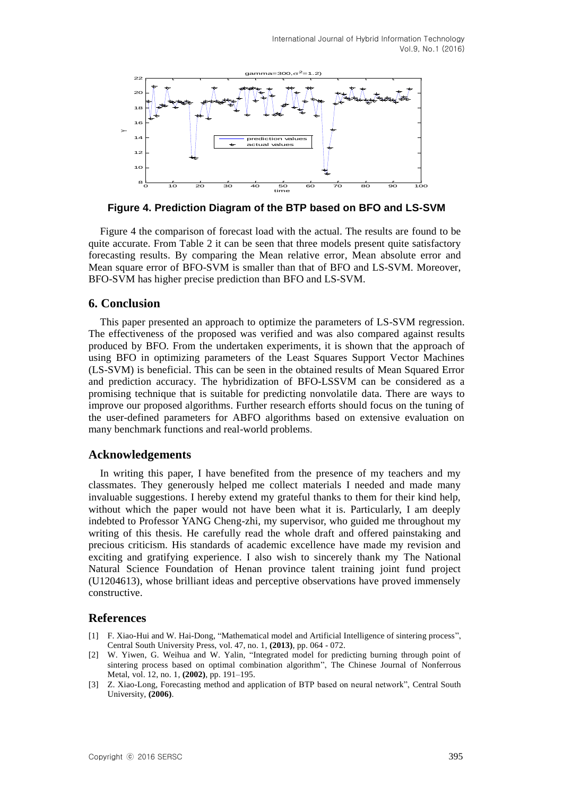

**Figure 4. Prediction Diagram of the BTP based on BFO and LS-SVM**

Figure 4 the comparison of forecast load with the actual. The results are found to be quite accurate. From Table 2 it can be seen that three models present quite satisfactory forecasting results. By comparing the Mean relative error, Mean absolute error and Mean square error of BFO-SVM is smaller than that of BFO and LS-SVM. Moreover, BFO-SVM has higher precise prediction than BFO and LS-SVM.

## **6. Conclusion**

This paper presented an approach to optimize the parameters of LS-SVM regression. The effectiveness of the proposed was verified and was also compared against results produced by BFO. From the undertaken experiments, it is shown that the approach of using BFO in optimizing parameters of the Least Squares Support Vector Machines (LS-SVM) is beneficial. This can be seen in the obtained results of Mean Squared Error and prediction accuracy. The hybridization of BFO-LSSVM can be considered as a promising technique that is suitable for predicting nonvolatile data. There are ways to improve our proposed algorithms. Further research efforts should focus on the tuning of the user-defined parameters for ABFO algorithms based on extensive evaluation on many benchmark functions and real-world problems.

## **Acknowledgements**

In writing this paper, I have benefited from the presence of my teachers and my classmates. They generously helped me collect materials I needed and made many invaluable suggestions. I hereby extend my grateful thanks to them for their kind help, without which the paper would not have been what it is. Particularly, I am deeply indebted to Professor YANG Cheng-zhi, my supervisor, who guided me throughout my writing of this thesis. He carefully read the whole draft and offered painstaking and precious criticism. His standards of academic excellence have made my revision and exciting and gratifying experience. I also wish to sincerely thank my The National Natural Science Foundation of Henan province talent training joint fund project (U1204613), whose brilliant ideas and perceptive observations have proved immensely constructive.

# **References**

- [1] F. Xiao-Hui and W. Hai-Dong, "Mathematical model and Artificial Intelligence of sintering process", Central South University Press, vol. 47, no. 1, **(2013)**, pp. 064 - 072.
- [2] W. Yiwen, G. Weihua and W. Yalin, "Integrated model for predicting burning through point of sintering process based on optimal combination algorithm", The Chinese Journal of Nonferrous Metal, vol. 12, no. 1, **(2002)**, pp. 191–195.
- [3] Z. Xiao-Long, Forecasting method and application of BTP based on neural network", Central South University, **(2006)**.